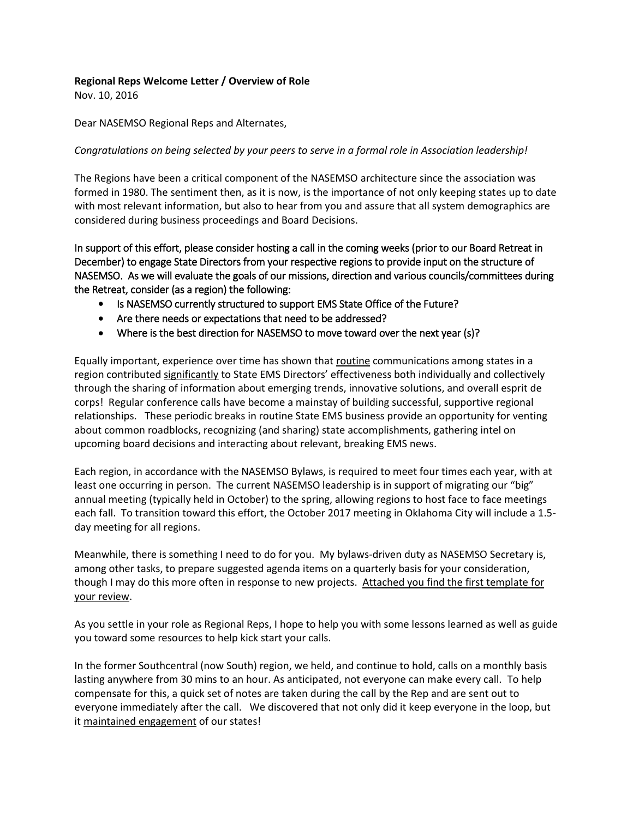## **Regional Reps Welcome Letter / Overview of Role**

Nov. 10, 2016

Dear NASEMSO Regional Reps and Alternates,

## *Congratulations on being selected by your peers to serve in a formal role in Association leadership!*

The Regions have been a critical component of the NASEMSO architecture since the association was formed in 1980. The sentiment then, as it is now, is the importance of not only keeping states up to date with most relevant information, but also to hear from you and assure that all system demographics are considered during business proceedings and Board Decisions.

In support of this effort, please consider hosting a call in the coming weeks (prior to our Board Retreat in December) to engage State Directors from your respective regions to provide input on the structure of NASEMSO. As we will evaluate the goals of our missions, direction and various councils/committees during the Retreat, consider (as a region) the following:

- Is NASEMSO currently structured to support EMS State Office of the Future?
- Are there needs or expectations that need to be addressed?
- Where is the best direction for NASEMSO to move toward over the next year (s)?

Equally important, experience over time has shown that routine communications among states in a region contributed significantly to State EMS Directors' effectiveness both individually and collectively through the sharing of information about emerging trends, innovative solutions, and overall esprit de corps! Regular conference calls have become a mainstay of building successful, supportive regional relationships. These periodic breaks in routine State EMS business provide an opportunity for venting about common roadblocks, recognizing (and sharing) state accomplishments, gathering intel on upcoming board decisions and interacting about relevant, breaking EMS news.

Each region, in accordance with the NASEMSO Bylaws, is required to meet four times each year, with at least one occurring in person. The current NASEMSO leadership is in support of migrating our "big" annual meeting (typically held in October) to the spring, allowing regions to host face to face meetings each fall. To transition toward this effort, the October 2017 meeting in Oklahoma City will include a 1.5 day meeting for all regions.

Meanwhile, there is something I need to do for you. My bylaws-driven duty as NASEMSO Secretary is, among other tasks, to prepare suggested agenda items on a quarterly basis for your consideration, though I may do this more often in response to new projects. Attached you find the first template for your review.

As you settle in your role as Regional Reps, I hope to help you with some lessons learned as well as guide you toward some resources to help kick start your calls.

In the former Southcentral (now South) region, we held, and continue to hold, calls on a monthly basis lasting anywhere from 30 mins to an hour. As anticipated, not everyone can make every call. To help compensate for this, a quick set of notes are taken during the call by the Rep and are sent out to everyone immediately after the call. We discovered that not only did it keep everyone in the loop, but it maintained engagement of our states!